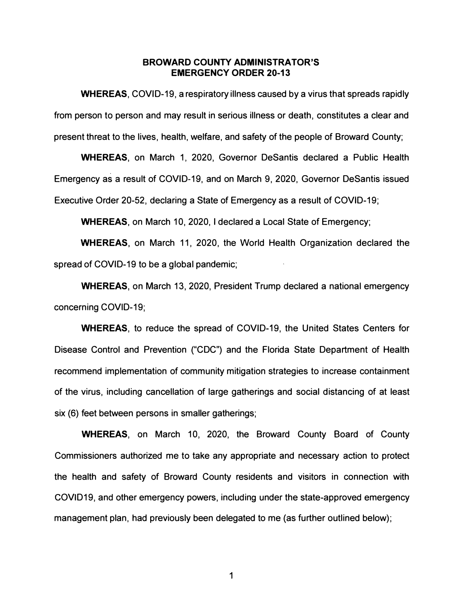#### **BROWARD COUNTY ADMINISTRATOR'S EMERGENCY ORDER 20-13**

**WHEREAS,** COVID-19, a respiratory illness caused by a virus that spreads rapidly from person to person and may result in serious illness or death, constitutes a clear and present threat to the lives, health, welfare, and safety of the people of Broward County;

**WHEREAS,** on March 1, 2020, Governor Desantis declared a Public Health Emergency as a result of COVID-19, and on March 9, 2020, Governor Desantis issued Executive Order 20-52, declaring a State of Emergency as a result of COVID-19;

**WHEREAS,** on March 10, 2020, I declared a Local State of Emergency;

**WHEREAS,** on March 11, 2020, the World Health Organization declared the spread of COVID-19 to be a global pandemic;

**WHEREAS,** on March 13, 2020, President Trump declared a national emergency concerning COVlD-19;

**WHEREAS,** to reduce the spread of COVID-19, the United States Centers for Disease Control and Prevention ("CDC") and the Florida State Department of Health recommend implementation of community mitigation strategies to increase containment of the virus, including cancellation of large gatherings and social distancing of at least six (6) feet between persons in smaller gatherings;

**WHEREAS,** on March 10, 2020, the Broward County Board of County Commissioners authorized me to take any appropriate and necessary action to protect the health and safety of Broward County residents and visitors in connection with COVID19, and other emergency powers, including under the state-approved emergency management plan, had previously been delegated to me (as further outlined below);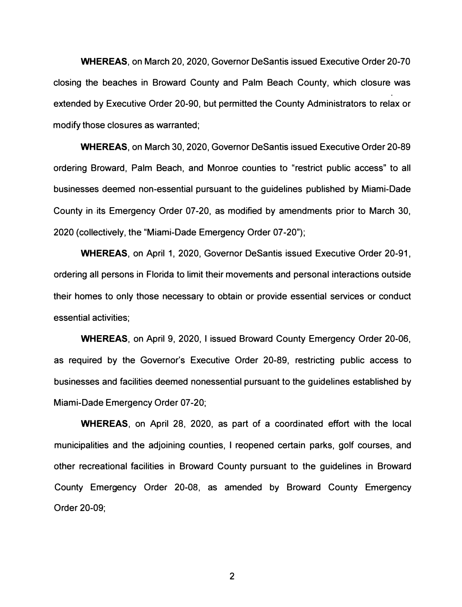**WHEREAS,** on March 20, 2020, Governor Desantis issued Executive Order 20-70 closing the beaches in Broward County and Palm Beach County, which closure was extended by Executive Order 20-90, but permitted the County Administrators to relax or modify those closures as warranted;

**WHEREAS,** on March 30, 2020, Governor Desantis issued Executive Order 20-89 ordering Broward, Palm Beach, and Monroe counties to "restrict public access" to all businesses deemed non-essential pursuant to the guidelines published by Miami-Dade County in-its Emergency Order 07-20, as modified by amendments prior to March 30, 2020 (collectively, the "Miami-Dade Emergency Order 07-20");

**WHEREAS,** on April 1, 2020, Governor Desantis issued Executive Order 20-91, ordering all persons in Florida to limit their movements and personal interactions outside their homes to only those necessary to obtain or provide essential services or conduct essential activities;

**WHEREAS,** on April 9, 2020, I issued Broward County Emergency Order 20-06, as required by the Governor's Executive Order 20-89, restricting public access to businesses and facilities deemed nonessential pursuant to the guidelines established by Miami-Dade Emergency Order 07 -20;

**WHEREAS,** on April 28, 2020, as part of a coordinated effort with the local municipalities and the adjoining counties, I reopened certain parks, golf courses, and other recreational facilities in Broward County pursuant to the guidelines in Broward County Emergency Order 20-08, as amended by Broward County Emergency Order 20-09;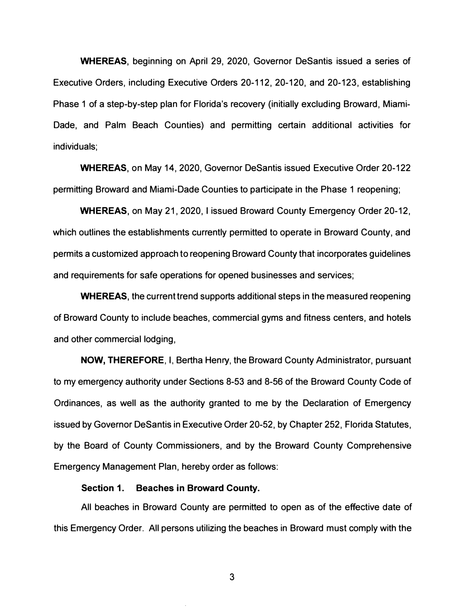**WHEREAS,** beginning on April 29, 2020, Governor Desantis issued a series of Executive Orders, including Executive Orders 20-112, 20-120, and 20-123, establishing Phase 1 of a step-by-step plan for Florida's recovery (initially excluding Broward, Miami-Dade, and Palm Beach Counties) and permitting certain additional activities for individuals;

**WHEREAS,** on May 14, 2020, Governor Desantis issued Executive Order 20-122 permitting Broward and Miami-Dade Counties to participate in the Phase 1 reopening;

**WHEREAS,** on May 21, 2020, I issued Broward County Emergency Order 20-12, which outlines the establishments currently permitted to operate in Broward County, and permits a customized approach to reopening Broward County that incorporates guidelines and requirements for safe operations for opened businesses and services;

**WHEREAS,** the current trend supports additional steps in the measured reopening of Broward County to include beaches, commercial gyms and fitness centers, and hotels and other commercial lodging,

**NOW, THEREFORE,** I, Bertha Henry, the Broward County Administrator, pursuant to my emergency authority under Sections 8-53 and 8-56 of the Broward County Code of Ordinances, as well as the authority granted to me by the Declaration of Emergency issued by Governor DeSantis in Executive Order 20-52, by Chapter 252, Florida Statutes, by the Board of County Commissioners, and by the Broward County Comprehensive Emergency Management Plan, hereby order as follows:

#### **Section 1. Beaches in Broward County.**

All beaches in Broward County are permitted to open as of the effective date of this Emergency Order. All persons utilizing the beaches in Broward must comply with the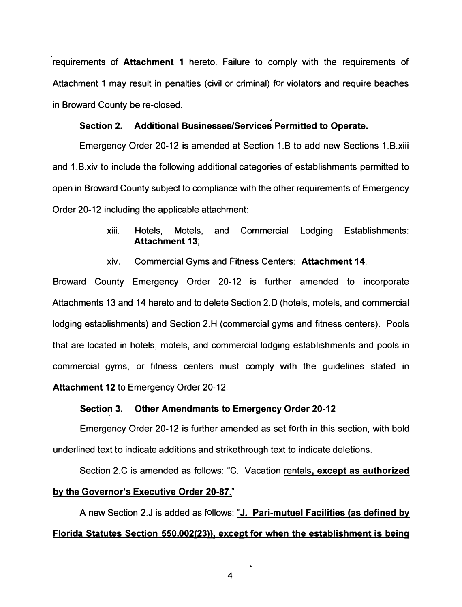**requirements of Attachment 1 hereto. Failure to comply with the requirements of Attachment 1 may result in penalties (civil or criminal) for violators and require beaches in Broward County be re-closed.** 

### **Section 2. Additional Businesses/Services Permitted to Operate.**

**Emergency Order 20-12 is amended at Section 1.B to add new Sections 1.B.xiii and 1.B.xiv to include the following additional categories of establishments permitted to open in Broward County subject to compliance with the other requirements of Emergency Order 20-12 including the applicable attachment:** 

- **xiii. Hotels, Motels, and Commercial Lodging Establishments: Attachment 13;**
- **xiv. Commercial Gyms and Fitness Centers: Attachment 14.**

**Broward County Emergency Order 20-12 is further amended to incorporate Attachments 13 and 14 hereto and to delete Section 2.0 (hotels, motels, and commercial**  lodging establishments) and Section 2.H (commercial gyms and fitness centers). Pools **that are located in hotels, motels, and commercial lodging establishments and pools in commercial gyms, or fitness centers must comply with the guidelines stated in Attachment 12 to Emergency Order 20-12.** 

#### **Section 3. Other Amendments to Emergency Order 20-12**

**Emergency Order 20-12 is further amended as set forth in this section, with bold underlined text to indicate additions and strikethrough text to indicate deletions.** 

**Section 2.C is amended as follows: "C. Vacation rentals, except as authorized**  by the Governor's Executive Order 20-87."

**A new Section 2.J is added as follows: "J. Pari-mutuel Facilities (as defined by Florida Statutes Section 550.002(23)), except for when the establishment is being**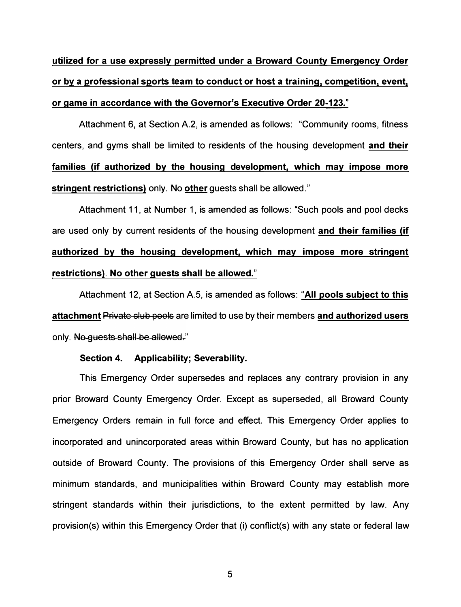**utilized for a use expressly permitted under a Broward County Emergency Order or by a professional sports team to conduct or host a training, competition, event, or game in accordance with the Governor's Executive Order 20-123."** 

Attachment 6, at Section A.2, is amended as follows: "Community rooms, fitness centers, and gyms shall be limited to residents of the housing development **and their families (if authorized by the housing development, which may impose more stringent restrictions)** only. No **other** guests shall be allowed."

Attachment 11, at Number 1, is amended as follows: "Such pools and pool decks are used only by current residents of the housing development **and their families (if authorized by the housing development, which may impose more stringent restrictions). No other guests shall be allowed."** 

Attachment 12, at Section A.5, is amended as follows: **"All pools subiect to this attachment** Private olub pools are limited to use by their members **and authorized users**  only. No quests shall be allowed."

#### **Section 4. Applicability; Severability.**

This Emergency Order supersedes and replaces any contrary provision in any prior Broward County Emergency Order. Except as superseded, all Broward County Emergency Orders remain in full force and effect. This Emergency Order applies to incorporated and unincorporated areas within Broward County, but has no application outside of Broward County. The provisions of this Emergency Order shall serve as minimum standards, and municipalities within Broward County may establish more stringent standards within their jurisdictions, to the extent permitted by law. Any provision(s) within this Emergency Order that (i) conflict(s) with any state or federal law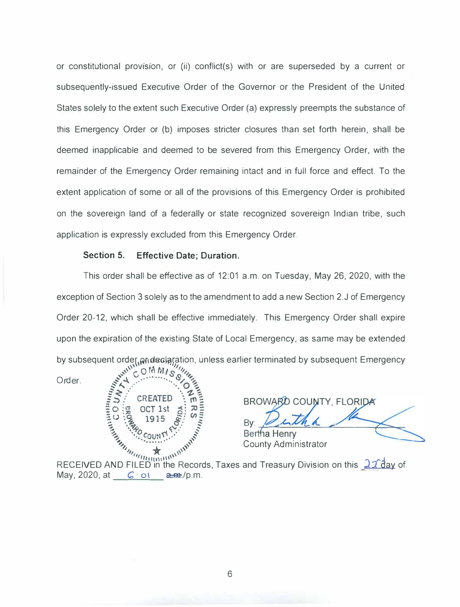or constitutional provision, or (ii) conflict(s) with or are superseded by a current or subsequently-issued Executive Order of the Governor or the President of the United States solely to the extent such Executive Order (a) expressly preempts the substance of this Emergency Order or (b) imposes stricter closures than set forth herein, shall be deemed inapplicable and deemed to be severed from this Emergency Order, with the remainder of the Emergency Order remaining intact and in full force and effect. To the extent application of some or all of the provisions of this Emergency Order is prohibited on the sovereign land of a federally or state recognized sovereign Indian tribe, such application is expressly excluded from this Emergency Order.

#### **Section 5. Effective Date; Duration.**

le<sub>l</sub>, prideclaration<br><sup>N</sup>LOMM<sub>LS</sub> This order shall be effective as of 12:01 a.m. on Tuesday, May 26, 2020, with the exception of Section 3 solely as to the amendment to add a new Section 2.J of Emergency Order 20-12, which shall be effective immediately. This Emergency Order shall expire upon the expiration of the existing State of Local Emergency, as same may be extended by subsequent order, prideclaration, unless earlier terminated by subsequent Emergency



BROWARD COUNTY, FLORIDA **Exercise 3**<br> **Example 3**<br> **County Administrator** 

RECEIVED AND FILED in the Records, Taxes and Treasury Division on this 22 day of May, 2020, at *C* of **a.m.**/p.m.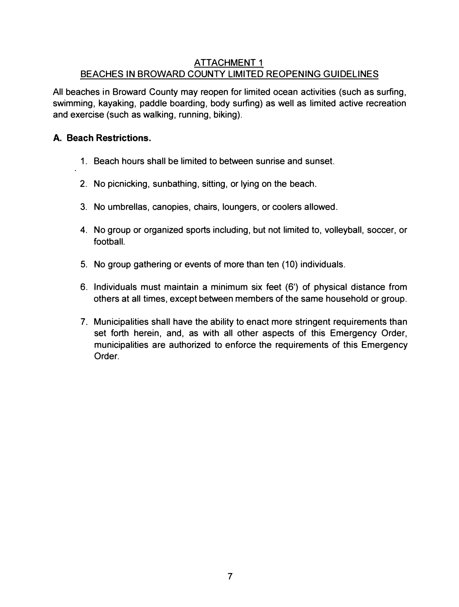## ATTACHMENT 1 BEACHES IN BROWARD COUNTY LIMITED REOPENING GUIDELINES

All beaches in Broward County may reopen for limited ocean activities (such as surfing, swimming, kayaking, paddle boarding, body surfing) as well as limited active recreation and exercise (such as walking, running, biking).

## **A. Beach Restrictions.**

- 1. Beach hours shall be limited to between sunrise and sunset.
- **2. No** picnicking, sunbathing, sitting, or lying on the beach.
- 3. No umbrellas, canopies, chairs, loungers, or coolers allowed.
- **4. No** group or organized sports including, but not limited to, volleyball, soccer, or football.
- 5. No group gathering or events of more than ten (10) individuals.
- 6. Individuals must maintain a minimum six feet (6') of physical distance from others at all times, except between members of the same household or group.
- 7. Municipalities shall have the ability to enact more stringent requirements than set forth herein, and, as with all other aspects of this Emergency Order, municipalities are authorized to enforce the requirements of this Emergency Order.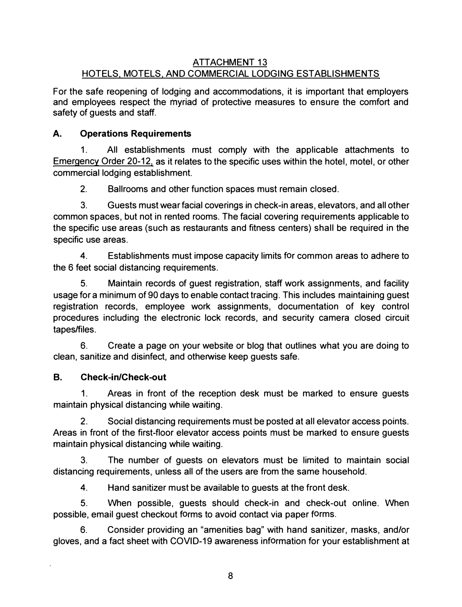## **ATTACHMENT 13 HOTELS, MOTELS. AND COMMERCIAL LODGING ESTABLISHMENTS**

**For the safe reopening of lodging and accommodations, it is important that employers and employees respect the myriad of protective measures to ensure the comfort and safety of guests and staff.** 

## **A. Operations Requirements**

**1. All establishments must comply with the applicable attachments to Emergency Order 20-12, as it relates to the specific uses within the hotel, motel, or other commercial lodging establishment.** 

**2. Ballrooms and other function spaces must remain closed.** 

**3. Guests must wear facial coverings in check-in areas, elevators, and all other common spaces, but not in rented rooms. The facial covering requirements applicable to the specific use areas (such as restaurants and fitness centers) shall be required in the specific use areas.** 

**4. Establishments must impose capacity limits for common areas to adhere to the 6 feet social distancing requirements.** 

**5. Maintain records of guest registration, staff work assignments, and facility usage for a minimum of 90 days to enable contact tracing. This includes maintaining guest registration records, employee work assignments, documentation of key control procedures including the electronic lock records, and security camera closed circuit tapes/files.** 

**6. Create a page on your website or blog that outlines what you are doing to clean, sanitize and disinfect, and otherwise keep guests safe.** 

### **B. Check-in/Check-out**

**1. Areas in front of the reception desk must be marked to ensure guests maintain physical distancing while waiting.** 

**2. Social distancing requirements must be posted at all elevator access points. Areas in front of the first-floor elevator access points must be marked to ensure guests maintain physical distancing while waiting.** 

**3. The number of guests on elevators must be limited to maintain social distancing requirements, unless all of the users are from the same household.** 

**4. Hand sanitizer must be available to guests at the front desk.** 

**5. When possible, guests should check-in and check-out online. When possible, email guest checkout forms to avoid contact via paper forms.** 

**6. Consider providing an "amenities bag" with hand sanitizer, masks, and/or gloves, and a fact sheet with COVID-19 awareness information for your establishment at**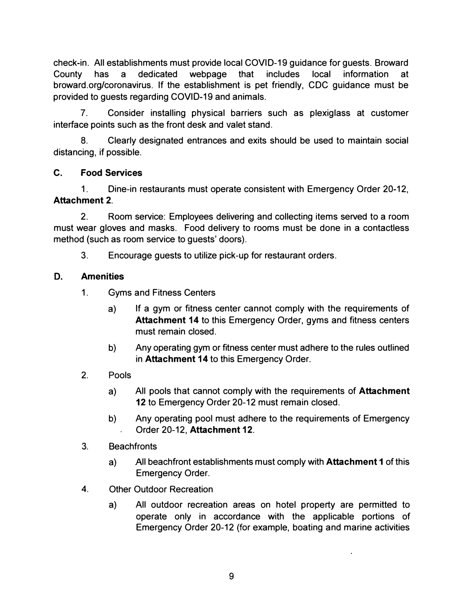check-in. All establishments must provide local COVID-19 guidance for guests. Broward County has a dedicated webpage that includes local information at [broward.org/coronavirus](https://broward.org/coronavirus). If the establishment is pet friendly, CDC guidance must be provided to guests regarding COVID-19 and animals.

7. Consider installing physical barriers such as plexiglass at customer interface points such as the front desk and valet stand.

8. Clearly designated entrances and exits should be used to maintain social distancing, if possible.

# **C. Food Services**

1. Dine-in restaurants must operate consistent with Emergency Order 20-12, **Attachment 2.** 

2. Room service: Employees delivering and collecting items served to a room must wear gloves and masks. Food delivery to rooms must be done in a contactless method (such as room service to guests' doors).

3. Encourage guests to utilize pick-up for restaurant orders.

# **D. Amenities**

- 1. Gyms and Fitness Centers
	- a) If a gym or fitness center cannot comply with the requirements of **Attachment 14** to this Emergency Order, gyms and fitness centers must remain closed.
	- b) Any operating gym or fitness center must adhere to the rules outlined in **Attachment 14** to this Emergency Order.
- 2. Pools
	- a) All pools that cannot comply with the requirements of **Attachment**  12 to Emergency Order 20-12 must remain closed.
	- b) Any operating pool must adhere to the requirements of Emergency Order 20-12, **Attachment 12.**
- 3. Beachfronts
	- a) All beachfront establishments must comply with **Attachment 1** of this Emergency Order.
- 4. Other Outdoor Recreation
	- a) All outdoor recreation areas on hotel property are permitted to operate only in accordance with the applicable portions of Emergency Order 20-12 (for example, boating and marine activities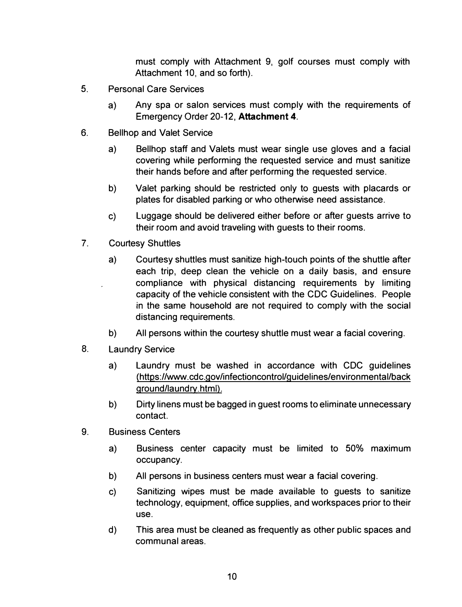**must comply with Attachment 9**1 **golf courses must comply with Attachment 10, and so forth).** 

- **5. Personal Care Services** 
	- **a) Any spa or salon services must comply with the requirements of Emergency Order 20-12, Attachment 4.**
- **6. Bellhop and Valet Service** 
	- **a) Bellhop staff and Valets must wear single use gloves and a facial covering while performing the requested service and must sanitize their hands before and after performing the requested service.**
	- **b) Valet parking should be restricted only to guests with placards or plates for disabled parking or who otherwise need assistance.**
	- **c) Luggage should be delivered either before or after guests arrive to their room and avoid traveling with guests to their rooms.**
- **7. Courtesy Shuttles** 
	- **a) Courtesy shuttles must sanitize high-touch points of the shuttle after each trip, deep clean the vehicle on a daily basis, and ensure compliance with physical distancing requirements by limiting capacity of the vehicle consistent with the CDC Guidelines. People**  *in* **the same household are not required to comply with the social distancing requirements.**
	- **b) All persons within the courtesy shuttle must wear a facial covering.**
- **8. Laundry Service** 
	- **a) Laundry must be washed in accordance with CDC guidelines (<https://www.cdc.gov/infectioncontrol/guidelines/environmental/back> ground/laundry.html).**
	- **b) Dirty linens must be bagged in guest rooms to eliminate unnecessary contact.**
- **9. Business Centers** 
	- **a) Business center capacity must be limited to 50% maximum occupancy.**
	- **b) All persons in business centers must wear a facial covering.**
	- **c) Sanitizing wipes must be made available to guests to sanitize technology, equipment, office supplies, and workspaces prior to their use.**
	- **d) This area must be cleaned as frequently as other public spaces and communal areas.**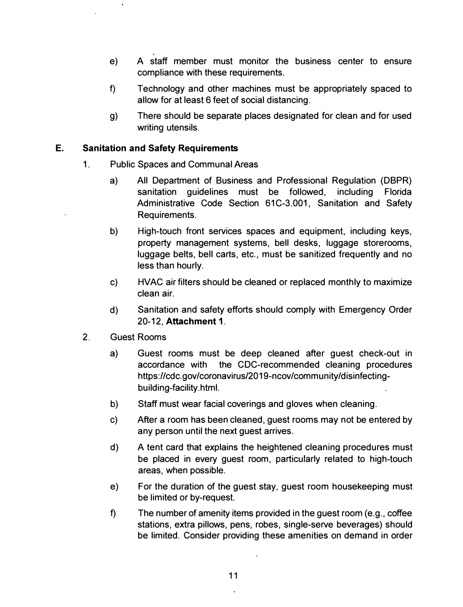- **e) A staff member must monitor the business center to ensure compliance with these requirements.**
- **f) Technology and other machines must be appropriately spaced to allow for at least 6 feet of social distancing.**
- **g) There should be separate places designated for clean and for used writing utensils.**

## **E. Sanitation and Safety Requirements**

- **1. Public Spaces and Communal Areas** 
	- **a) All Department of Business and Professional Regulation (DBPR) sanitation guidelines must be followed, including Florida Administrative Code Section 61C-3.001, Sanitation and Safety Requirements.**
	- **b) High-touch front services spaces and equipment, including keys, property management systems, bell desks, luggage storerooms, luggage belts, bell carts, etc., must be sanitized frequently and no less than hourly.**
	- **c) HVAC air filters should be cleaned or replaced monthly to maximize clean air.**
	- **d) Sanitation and safety efforts should comply with Emergency Order 20-12, Attachment 1.**
- **2. Guest Rooms** 
	- **a) Guest rooms must be deep cleaned after guest check-out in accordance with the CDC-recommended cleaning procedures <https://cdc.gov/coronavirus/2019-ncov/community/disinfecting>building-facility.html.**
	- **b) Staff must wear facial coverings and gloves when cleaning.**
	- **c) After a room has been cleaned, guest rooms may not be entered by any person until the next guest arrives.**
	- **d) A tent card that explains the heightened cleaning procedures must be placed in every guest room, particularly related to high-touch areas, when possible.**
	- **e) For the duration of the guest stay, guest room housekeeping must be limited or by-request.**
	- **f) The number of amenity items provided in the guest room (e.g., coffee stations, extra pillows, pens, robes, single-serve beverages) should be limited. Consider providing these amenities on demand in order**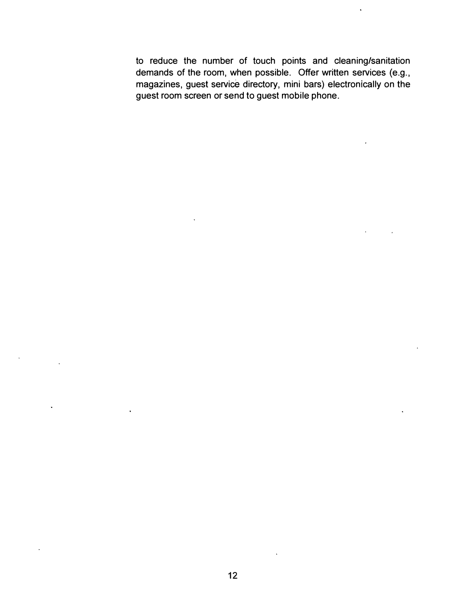**to reduce the number of touch points and cleaning/sanitation demands of the room, when possible. Offer written services (e.g., magazines, guest service directory, mini bars) electronically on the guest room screen or send to guest mobile phone.**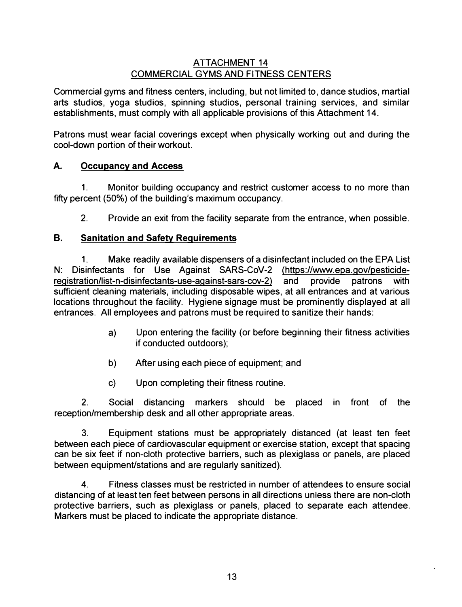## **ATTACHMENT 14 COMMERCIAL GYMS AND FITNESS CENTERS**

Commercial gyms and fitness centers, including, but not limited to, dance studios, martial **arts studios, yoga studios, spinning studios, personal training services, and similar establishments, must comply with all applicable provisions of this Attachment 14.** 

**Patrons must wear facial coverings except when physically working out and during the cool-down portion of their workout.** 

## **A. Occupancy and Access**

**1. Monitor building occupancy and restrict customer access to no more than fifty percent (50%) of the building's maximum occupancy.** 

**2. Provide an exit from the facility separate from the entrance, when possible.** 

## **8. Sanitation and Safety Requirements**

**1. Make readily available dispensers of a disinfectant included on the EPA List N: Disinfectants for Use Against SARS-CoV-2 [\(https://www.epa.gov/pesticide](https://www.epa.gov/pesticide)registration/list-n-disinfectants-use-against-sars-cov-2) and provide patrons with sufficient cleaning materials, including disposable wipes, at all entrances and at various locations throughout the facility. Hygiene signage must be prominently displayed at all entrances. All employees and patrons must be required to sanitize their hands:** 

- **a) Upon entering the facility ( or before beginning their fitness activities if conducted outdoors);**
- **b) After using each piece of equipment; and**
- **c) Upon completing their fitness routine.**

**2. Social distancing markers should be placed in front of the reception/membership desk and all other appropriate areas.** 

**3. Equipment stations must be appropriately distanced (at least ten feet between each piece of cardiovascular equipment or exercise station, except that spacing can be six feet if non-cloth protective barriers, such as plexiglass or panels, are placed between equipment/stations and are regularly sanitized).** 

**4. Fitness classes must be restricted in number of attendees to ensure social distancing of at least ten feet between persons in all directions unless there are non-cloth protective barriers, such as plexiglass or panels, placed to separate each attendee. Markers must be placed to indicate the appropriate distance.**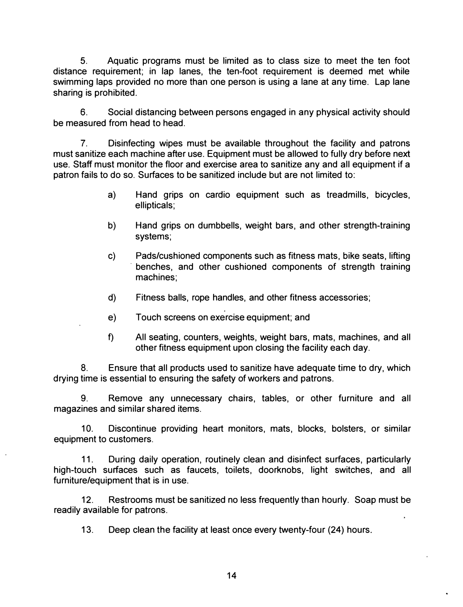**5. Aquatic programs must be limited as to class size to meet the ten foot distance requirement; in lap lanes, the ten-foot requirement is deemed met while swimming laps provided no more than one person is using a lane at any time. Lap lane sharing is prohibited.** 

**6. Social distancing between persons engaged in any physical activity should be measured from head to head.** 

**7. Disinfecting wipes must be available throughout the facility and patrons**  must sanitize each machine after use. Equipment must be allowed to fully dry before next **use. Staff must monitor the floor and exercise area to sanitize any and all equipment if a patron fails to do so. Surfaces to be sanitized include but are not limited to:** 

- **a) Hand grips on cardio equipment such as treadmills, bicycles, ellipticals;**
- **b) Hand grips on dumbbells, weight bars, and other strength-training systems;**
- **c) Pads/cushioned components such as fitness mats, bike seats, lifting · benches, and other cushioned components of strength training machines;**
- **d) Fitness balls, rope handles, and other fitness accessories;**
- **e) Touch screens on exercise equipment; and**
- **f) All seating, counters, weights, weight bars, mats, machines, and all other fitness equipment upon closing the facility each day.**

**8. Ensure that all products used to sanitize have adequate time to dry, which drying time is essential to ensuring the safety of workers and patrons.** 

**9. Remove any unnecessary chairs, tables, or other furniture and all magazines and similar shared items.** 

**10. Discontinue providing heart monitors, mats, blocks, bolsters, or similar equipment to customers.** 

**11. During daily operation, routinely clean and disinfect surfaces, particularly high-touch surfaces such as faucets, toilets, doorknobs, light switches, and all furniture/equipment that is in use.** 

**12. Restrooms must be sanitized no less frequently than hourly. Soap must be readily available for patrons.** 

**13. Deep clean the facility at least once every twenty-four (24) hours.**